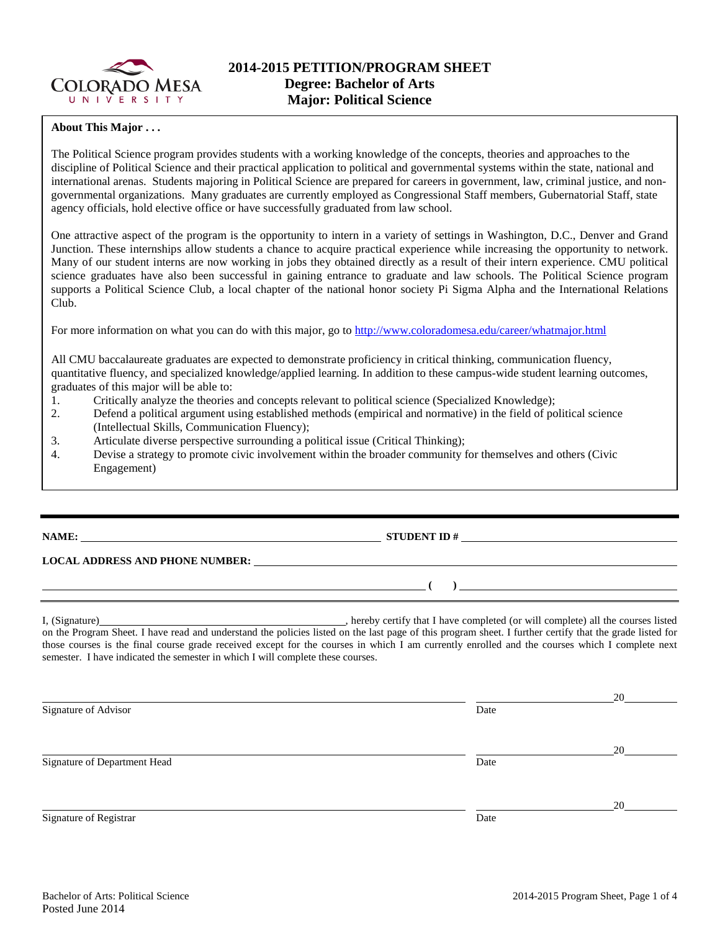

### **About This Major . . .**

The Political Science program provides students with a working knowledge of the concepts, theories and approaches to the discipline of Political Science and their practical application to political and governmental systems within the state, national and international arenas. Students majoring in Political Science are prepared for careers in government, law, criminal justice, and nongovernmental organizations. Many graduates are currently employed as Congressional Staff members, Gubernatorial Staff, state agency officials, hold elective office or have successfully graduated from law school.

One attractive aspect of the program is the opportunity to intern in a variety of settings in Washington, D.C., Denver and Grand Junction. These internships allow students a chance to acquire practical experience while increasing the opportunity to network. Many of our student interns are now working in jobs they obtained directly as a result of their intern experience. CMU political science graduates have also been successful in gaining entrance to graduate and law schools. The Political Science program supports a Political Science Club, a local chapter of the national honor society Pi Sigma Alpha and the International Relations Club.

For more information on what you can do with this major, go to<http://www.coloradomesa.edu/career/whatmajor.html>

All CMU baccalaureate graduates are expected to demonstrate proficiency in critical thinking, communication fluency, quantitative fluency, and specialized knowledge/applied learning. In addition to these campus-wide student learning outcomes, graduates of this major will be able to:

- 1. Critically analyze the theories and concepts relevant to political science (Specialized Knowledge);
- 2. Defend a political argument using established methods (empirical and normative) in the field of political science (Intellectual Skills, Communication Fluency);
- 3. Articulate diverse perspective surrounding a political issue (Critical Thinking);
- 4. Devise a strategy to promote civic involvement within the broader community for themselves and others (Civic Engagement)

## **NAME: STUDENT ID #**

**( )** 

#### **LOCAL ADDRESS AND PHONE NUMBER:**

I, (Signature) , hereby certify that I have completed (or will complete) all the courses listed on the Program Sheet. I have read and understand the policies listed on the last page of this program sheet. I further certify that the grade listed for those courses is the final course grade received except for the courses in which I am currently enrolled and the courses which I complete next semester. I have indicated the semester in which I will complete these courses.

 20 Signature of Advisor Date 20 Signature of Department Head Date 20 Signature of Registrar Date and Separature of Registrar Date and Separature of Registrar Date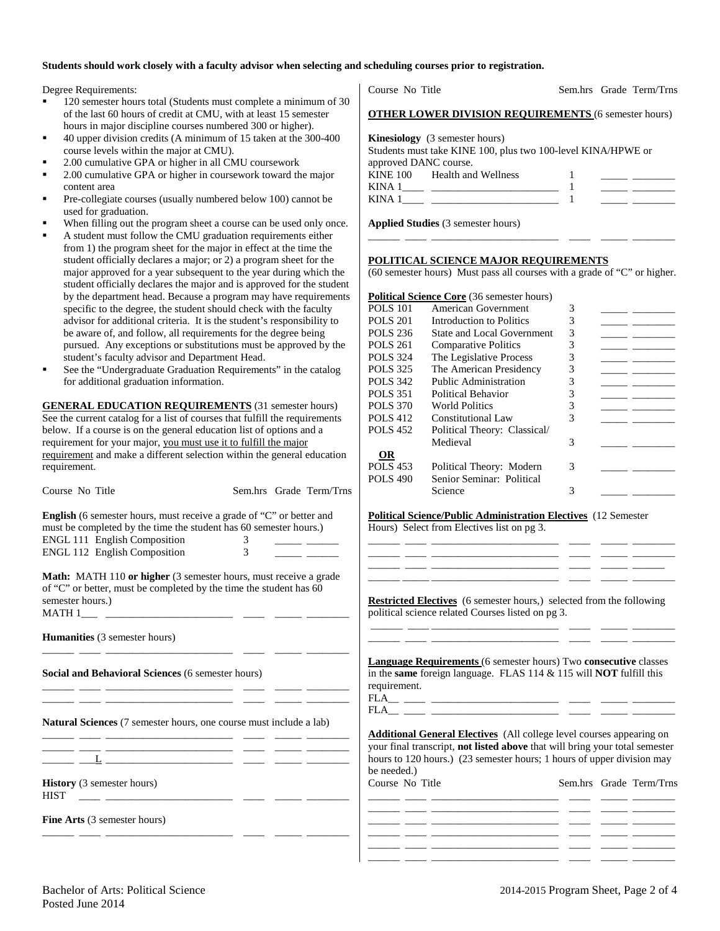#### **Students should work closely with a faculty advisor when selecting and scheduling courses prior to registration.**

Degree Requirements:

- 120 semester hours total (Students must complete a minimum of 30 of the last 60 hours of credit at CMU, with at least 15 semester hours in major discipline courses numbered 300 or higher).
- 40 upper division credits (A minimum of 15 taken at the 300-400 course levels within the major at CMU).
- 2.00 cumulative GPA or higher in all CMU coursework
- 2.00 cumulative GPA or higher in coursework toward the major content area
- Pre-collegiate courses (usually numbered below 100) cannot be used for graduation.
- When filling out the program sheet a course can be used only once.
- A student must follow the CMU graduation requirements either from 1) the program sheet for the major in effect at the time the student officially declares a major; or 2) a program sheet for the major approved for a year subsequent to the year during which the student officially declares the major and is approved for the student by the department head. Because a program may have requirements specific to the degree, the student should check with the faculty advisor for additional criteria. It is the student's responsibility to be aware of, and follow, all requirements for the degree being pursued. Any exceptions or substitutions must be approved by the student's faculty advisor and Department Head.
- See the "Undergraduate Graduation Requirements" in the catalog for additional graduation information.

**GENERAL EDUCATION REQUIREMENTS** (31 semester hours) See the current catalog for a list of courses that fulfill the requirements below. If a course is on the general education list of options and a requirement for your major, you must use it to fulfill the major requirement and make a different selection within the general education requirement.

| Course No Title                                                                                                                                                                                                  | Sem.hrs Grade Term/Trns                                                 | <b>POLS</b> 490 | Senior Seminar: Political<br>Science                                                                                                                                                                                                 | 3                      |  |
|------------------------------------------------------------------------------------------------------------------------------------------------------------------------------------------------------------------|-------------------------------------------------------------------------|-----------------|--------------------------------------------------------------------------------------------------------------------------------------------------------------------------------------------------------------------------------------|------------------------|--|
| <b>English</b> (6 semester hours, must receive a grade of "C" or better and<br>must be completed by the time the student has 60 semester hours.)<br>ENGL 111 English Composition<br>ENGL 112 English Composition | $\frac{3}{3}$                                                           |                 | <b>Political Science/Public Administration Electives</b> (12 Semester<br>Hours) Select from Electives list on pg 3.                                                                                                                  |                        |  |
| of "C" or better, must be completed by the time the student has 60<br>semester hours.)                                                                                                                           | <b>Math:</b> MATH 110 or higher (3 semester hours, must receive a grade |                 | <b>Restricted Electives</b> (6 semester hours,) selected from the following<br>political science related Courses listed on pg 3.                                                                                                     |                        |  |
| <b>Humanities</b> (3 semester hours)                                                                                                                                                                             |                                                                         |                 | <u> 1999 - 1999 - Andrea Marian, Amerikaansk filozof (d. 1999)</u>                                                                                                                                                                   |                        |  |
| Social and Behavioral Sciences (6 semester hours)                                                                                                                                                                |                                                                         | requirement.    | Language Requirements (6 semester hours) Two consecutive classes<br>in the same foreign language. FLAS $114 \& 115$ will NOT fulfill this                                                                                            |                        |  |
| <b>Natural Sciences</b> (7 semester hours, one course must include a lab)                                                                                                                                        | <u> 1981 - Johann Stoff, fransk politik (d. 1982)</u>                   | be needed.)     | <b>Additional General Electives</b> (All college level courses appearing on<br>your final transcript, not listed above that will bring your total semester<br>hours to 120 hours.) (23 semester hours; 1 hours of upper division may |                        |  |
| <b>History</b> (3 semester hours)<br><b>HIST</b>                                                                                                                                                                 | <u> 1999 - Johann Harrison, mars eta espainia</u>                       | Course No Title |                                                                                                                                                                                                                                      | Sem.hrs Grade Term/Trn |  |
| <b>Fine Arts</b> (3 semester hours)                                                                                                                                                                              |                                                                         |                 | <u> 1980 - Jan Alexander de American (h. 1980).</u><br>1900 - Johann Barnett, fransk politik (h. 1900).<br><u> 1981 - Johann Marie Marie (f. 1982)</u>                                                                               |                        |  |
|                                                                                                                                                                                                                  |                                                                         |                 | <u>ang pangangang pangangang pangangang pangangang pangangang pangangang pang</u>                                                                                                                                                    |                        |  |

|                       | <b>OTHER LOWER DIVISION REQUIREMENTS (6 semester hours)</b>                                    |  |
|-----------------------|------------------------------------------------------------------------------------------------|--|
| approved DANC course. | Kinesiology (3 semester hours)<br>Students must take KINE 100, plus two 100-level KINA/HPWE or |  |
| $KINA$ 1              | KINE 100 Health and Wellness<br>KINA $1 \_$                                                    |  |

Course No Title Sem.hrs Grade Term/Trns

**Applied Studies** (3 semester hours)

#### **POLITICAL SCIENCE MAJOR REQUIREMENTS**

(60 semester hours) Must pass all courses with a grade of "C" or higher.

\_\_\_\_\_\_ \_\_\_\_ \_\_\_\_\_\_\_\_\_\_\_\_\_\_\_\_\_\_\_\_\_\_\_\_ \_\_\_\_ \_\_\_\_\_ \_\_\_\_\_\_\_\_

|                 | <b>Political Science Core</b> (36 semester hours) |   |  |
|-----------------|---------------------------------------------------|---|--|
| <b>POLS</b> 101 | American Government                               | 3 |  |
| <b>POLS 201</b> | Introduction to Politics                          | 3 |  |
| POLS 236        | State and Local Government                        | 3 |  |
| POLS 261        | <b>Comparative Politics</b>                       | 3 |  |
| <b>POLS</b> 324 | The Legislative Process                           | 3 |  |
| POLS 325        | The American Presidency                           | 3 |  |
| <b>POLS 342</b> | Public Administration                             | 3 |  |
| <b>POLS</b> 351 | Political Behavior                                | 3 |  |
| <b>POLS 370</b> | World Politics                                    | 3 |  |
| POLS 412        | Constitutional Law                                | 3 |  |
| <b>POLS</b> 452 | Political Theory: Classical/                      |   |  |
|                 | Medieval                                          | 3 |  |
| OR              |                                                   |   |  |
| <b>POLS</b> 453 | Political Theory: Modern                          | 3 |  |
| <b>POLS 490</b> | Senior Seminar: Political                         |   |  |
|                 | Science                                           | 3 |  |
|                 |                                                   |   |  |

| Course No Title |  |  | Sem.hrs Grade Term/Trns |
|-----------------|--|--|-------------------------|
|                 |  |  |                         |
|                 |  |  |                         |
|                 |  |  |                         |
|                 |  |  |                         |
|                 |  |  |                         |
|                 |  |  |                         |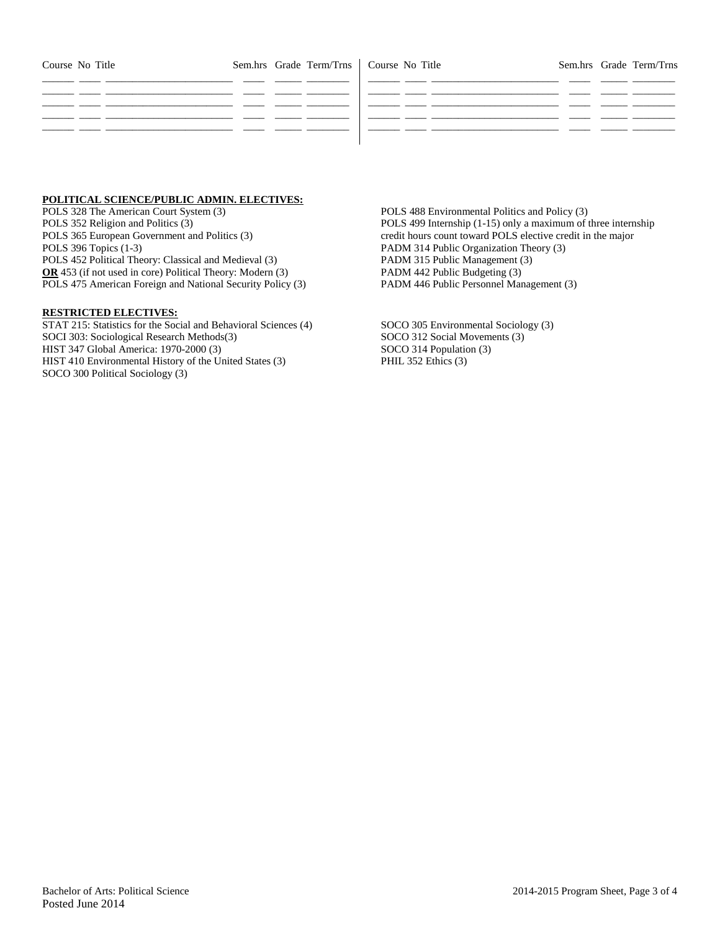| Course No Title |  | Sem.hrs Grade Term/Trns   Course No Title |  |  |  | Sem.hrs Grade Term/Trns |
|-----------------|--|-------------------------------------------|--|--|--|-------------------------|
|                 |  |                                           |  |  |  |                         |
|                 |  |                                           |  |  |  |                         |
|                 |  |                                           |  |  |  |                         |
|                 |  |                                           |  |  |  |                         |

## **POLITICAL SCIENCE/PUBLIC ADMIN. ELECTIVES:**

POLS 328 The American Court System (3) POLS 352 Religion and Politics (3) POLS 365 European Government and Politics (3) POLS 396 Topics (1-3) POLS 452 Political Theory: Classical and Medieval (3) **OR** 453 (if not used in core) Political Theory: Modern (3) POLS 475 American Foreign and National Security Policy (3)

#### **RESTRICTED ELECTIVES:**

STAT 215: Statistics for the Social and Behavioral Sciences (4) SOCI 303: Sociological Research Methods(3) HIST 347 Global America: 1970-2000 (3) HIST 410 Environmental History of the United States (3) SOCO 300 Political Sociology (3)

POLS 488 Environmental Politics and Policy (3) POLS 499 Internship (1-15) only a maximum of three internship credit hours count toward POLS elective credit in the major PADM 314 Public Organization Theory (3) PADM 315 Public Management (3) PADM 442 Public Budgeting (3) PADM 446 Public Personnel Management (3)

SOCO 305 Environmental Sociology (3) SOCO 312 Social Movements (3) SOCO 314 Population (3) PHIL 352 Ethics (3)